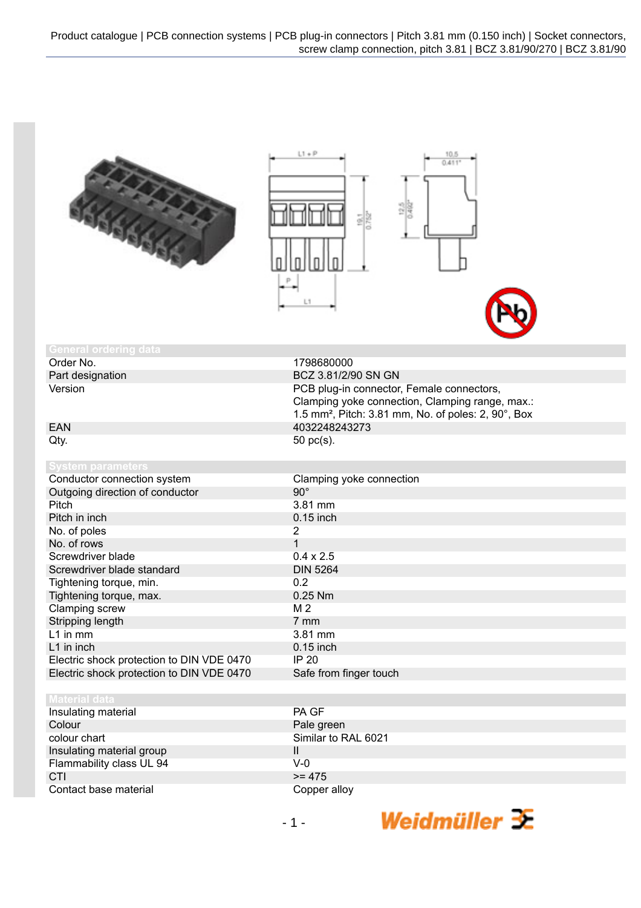|                                           | $L1 + P$<br>$rac{10.5}{0.411}$                                                                                                                                  |
|-------------------------------------------|-----------------------------------------------------------------------------------------------------------------------------------------------------------------|
| <b>General ordering data</b>              |                                                                                                                                                                 |
| Order No.                                 | 1798680000                                                                                                                                                      |
| Part designation                          | BCZ 3.81/2/90 SN GN                                                                                                                                             |
| Version                                   | PCB plug-in connector, Female connectors,<br>Clamping yoke connection, Clamping range, max.:<br>1.5 mm <sup>2</sup> , Pitch: 3.81 mm, No. of poles: 2, 90°, Box |
| <b>EAN</b>                                | 4032248243273                                                                                                                                                   |
| Qty.                                      | 50 pc(s).                                                                                                                                                       |
| <b>System parameters</b>                  |                                                                                                                                                                 |
| Conductor connection system               | Clamping yoke connection                                                                                                                                        |
| Outgoing direction of conductor           | $90^\circ$                                                                                                                                                      |
| Pitch                                     | 3.81 mm                                                                                                                                                         |
| Pitch in inch                             | 0.15 inch                                                                                                                                                       |
| No. of poles<br>No. of rows               | 2<br>$\overline{1}$                                                                                                                                             |
| Screwdriver blade                         | $0.4 \times 2.5$                                                                                                                                                |
| Screwdriver blade standard                | <b>DIN 5264</b>                                                                                                                                                 |
| Tightening torque, min.                   | 0.2                                                                                                                                                             |
| Tightening torque, max.                   | 0.25 Nm                                                                                                                                                         |
| Clamping screw                            | M <sub>2</sub>                                                                                                                                                  |
| Stripping length                          | 7 mm                                                                                                                                                            |
| L1 in mm                                  | 3.81 mm                                                                                                                                                         |
| L1 in inch                                | 0.15 inch                                                                                                                                                       |
| Electric shock protection to DIN VDE 0470 | <b>IP 20</b>                                                                                                                                                    |
| Electric shock protection to DIN VDE 0470 | Safe from finger touch                                                                                                                                          |
| <b>Material data</b>                      |                                                                                                                                                                 |
| Insulating material                       | PA GF                                                                                                                                                           |
| Colour                                    | Pale green                                                                                                                                                      |
| colour chart                              | Similar to RAL 6021                                                                                                                                             |
| Insulating material group                 | Ш                                                                                                                                                               |
| Flammability class UL 94                  | $V-0$                                                                                                                                                           |
| CTI                                       | $>= 475$                                                                                                                                                        |
| Contact base material                     | Copper alloy                                                                                                                                                    |

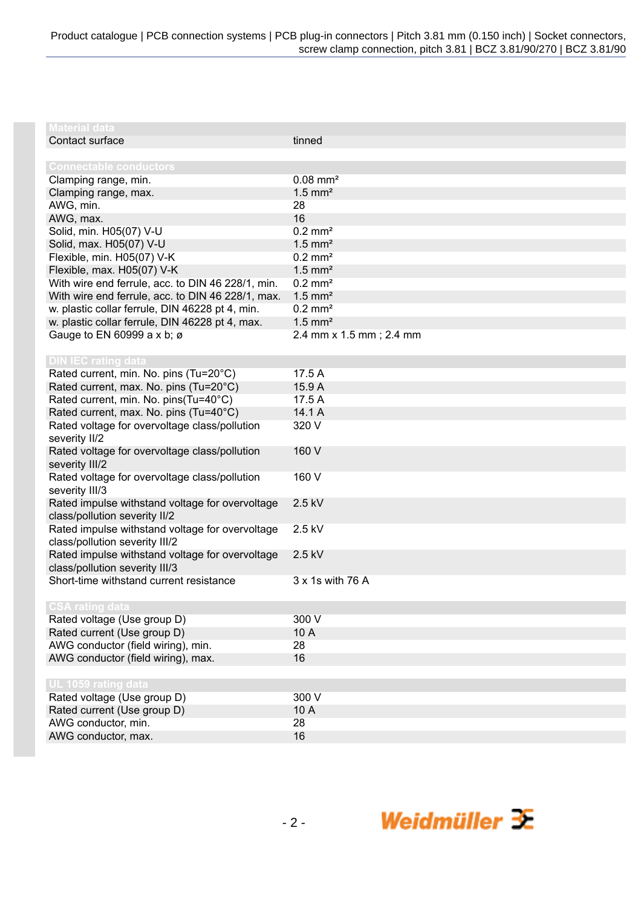| <b>Material data</b>                              |                         |
|---------------------------------------------------|-------------------------|
| Contact surface                                   | tinned                  |
|                                                   |                         |
| <b>Connectable conductors</b>                     |                         |
| Clamping range, min.                              | $0.08$ mm <sup>2</sup>  |
| Clamping range, max.                              | $1.5$ mm <sup>2</sup>   |
| AWG, min.                                         | 28                      |
| AWG, max.                                         | 16                      |
| Solid, min. H05(07) V-U                           | $0.2$ mm <sup>2</sup>   |
| Solid, max. H05(07) V-U                           | $1.5$ mm <sup>2</sup>   |
| Flexible, min. H05(07) V-K                        | $0.2$ mm <sup>2</sup>   |
| Flexible, max. H05(07) V-K                        | $1.5$ mm <sup>2</sup>   |
| With wire end ferrule, acc. to DIN 46 228/1, min. | $0.2$ mm <sup>2</sup>   |
| With wire end ferrule, acc. to DIN 46 228/1, max. | $1.5$ mm <sup>2</sup>   |
| w. plastic collar ferrule, DIN 46228 pt 4, min.   | $0.2$ mm <sup>2</sup>   |
| w. plastic collar ferrule, DIN 46228 pt 4, max.   | $1.5$ mm <sup>2</sup>   |
| Gauge to EN 60999 a x b; ø                        | 2.4 mm x 1.5 mm; 2.4 mm |
|                                                   |                         |
| <b>DIN IEC rating data</b>                        |                         |
| Rated current, min. No. pins (Tu=20°C)            | 17.5 A                  |
| Rated current, max. No. pins (Tu=20°C)            | 15.9 A                  |
| Rated current, min. No. pins(Tu=40°C)             | 17.5 A                  |
|                                                   | 14.1 A                  |
| Rated current, max. No. pins (Tu=40°C)            |                         |
| Rated voltage for overvoltage class/pollution     | 320 V                   |
| severity II/2                                     |                         |
| Rated voltage for overvoltage class/pollution     | 160 V                   |
| severity III/2                                    |                         |
| Rated voltage for overvoltage class/pollution     | 160 V                   |
| severity III/3                                    |                         |
| Rated impulse withstand voltage for overvoltage   | 2.5 kV                  |
| class/pollution severity II/2                     |                         |
| Rated impulse withstand voltage for overvoltage   | 2.5 kV                  |
| class/pollution severity III/2                    |                         |
| Rated impulse withstand voltage for overvoltage   | 2.5 kV                  |
| class/pollution severity III/3                    |                         |
| Short-time withstand current resistance           | 3 x 1s with 76 A        |
|                                                   |                         |
| <b>CSA rating data</b>                            |                         |
| Rated voltage (Use group D)                       | 300 V                   |
| Rated current (Use group D)                       | 10A                     |
| AWG conductor (field wiring), min.                | 28                      |
| AWG conductor (field wiring), max.                | 16                      |
|                                                   |                         |
| UL 1059 rating data                               |                         |
| Rated voltage (Use group D)                       | 300 V                   |
| Rated current (Use group D)                       | 10A                     |
| AWG conductor, min.                               | 28                      |
| AWG conductor, max.                               | 16                      |

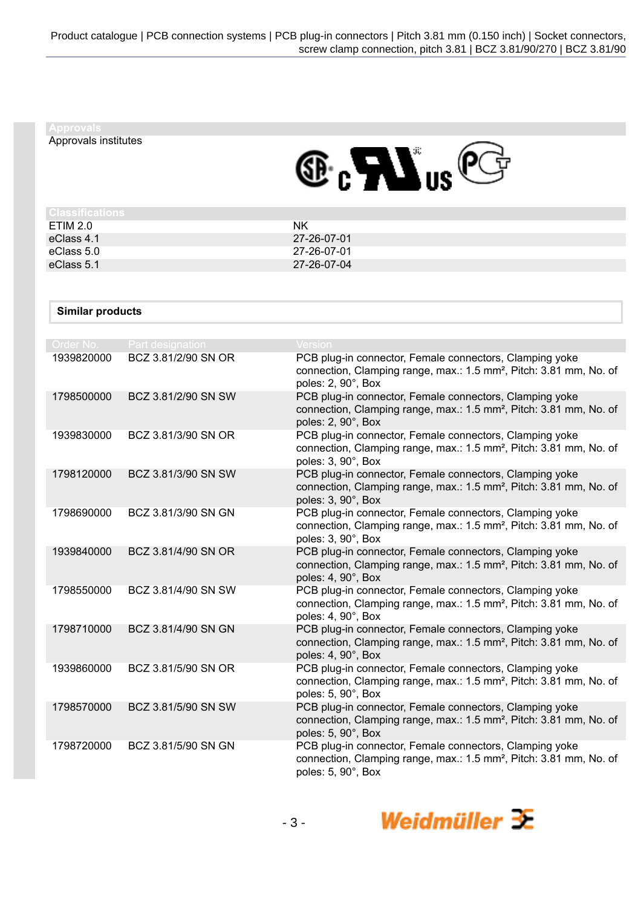Approvals institutes

## **E.AI**us<sup>@</sup>

| ETIM 2.0<br>NK            |  |
|---------------------------|--|
| eClass 4.1<br>27-26-07-01 |  |
| 27-26-07-01<br>eClass 5.0 |  |
| eClass 5.1<br>27-26-07-04 |  |

## **Similar products**

| Order No.  | Part designation    | <b>Version</b>                                                                                                                                                  |
|------------|---------------------|-----------------------------------------------------------------------------------------------------------------------------------------------------------------|
| 1939820000 | BCZ 3.81/2/90 SN OR | PCB plug-in connector, Female connectors, Clamping yoke<br>connection, Clamping range, max.: 1.5 mm <sup>2</sup> , Pitch: 3.81 mm, No. of<br>poles: 2, 90°, Box |
| 1798500000 | BCZ 3.81/2/90 SN SW | PCB plug-in connector, Female connectors, Clamping yoke<br>connection, Clamping range, max.: 1.5 mm <sup>2</sup> , Pitch: 3.81 mm, No. of<br>poles: 2, 90°, Box |
| 1939830000 | BCZ 3.81/3/90 SN OR | PCB plug-in connector, Female connectors, Clamping yoke<br>connection, Clamping range, max.: 1.5 mm <sup>2</sup> , Pitch: 3.81 mm, No. of<br>poles: 3, 90°, Box |
| 1798120000 | BCZ 3.81/3/90 SN SW | PCB plug-in connector, Female connectors, Clamping yoke<br>connection, Clamping range, max.: 1.5 mm <sup>2</sup> , Pitch: 3.81 mm, No. of<br>poles: 3, 90°, Box |
| 1798690000 | BCZ 3.81/3/90 SN GN | PCB plug-in connector, Female connectors, Clamping yoke<br>connection, Clamping range, max.: 1.5 mm <sup>2</sup> , Pitch: 3.81 mm, No. of<br>poles: 3, 90°, Box |
| 1939840000 | BCZ 3.81/4/90 SN OR | PCB plug-in connector, Female connectors, Clamping yoke<br>connection, Clamping range, max.: 1.5 mm <sup>2</sup> , Pitch: 3.81 mm, No. of<br>poles: 4, 90°, Box |
| 1798550000 | BCZ 3.81/4/90 SN SW | PCB plug-in connector, Female connectors, Clamping yoke<br>connection, Clamping range, max.: 1.5 mm <sup>2</sup> , Pitch: 3.81 mm, No. of<br>poles: 4, 90°, Box |
| 1798710000 | BCZ 3.81/4/90 SN GN | PCB plug-in connector, Female connectors, Clamping yoke<br>connection, Clamping range, max.: 1.5 mm <sup>2</sup> , Pitch: 3.81 mm, No. of<br>poles: 4, 90°, Box |
| 1939860000 | BCZ 3.81/5/90 SN OR | PCB plug-in connector, Female connectors, Clamping yoke<br>connection, Clamping range, max.: 1.5 mm <sup>2</sup> , Pitch: 3.81 mm, No. of<br>poles: 5, 90°, Box |
| 1798570000 | BCZ 3.81/5/90 SN SW | PCB plug-in connector, Female connectors, Clamping yoke<br>connection, Clamping range, max.: 1.5 mm <sup>2</sup> , Pitch: 3.81 mm, No. of<br>poles: 5, 90°, Box |
| 1798720000 | BCZ 3.81/5/90 SN GN | PCB plug-in connector, Female connectors, Clamping yoke<br>connection, Clamping range, max.: 1.5 mm <sup>2</sup> , Pitch: 3.81 mm, No. of<br>poles: 5, 90°, Box |

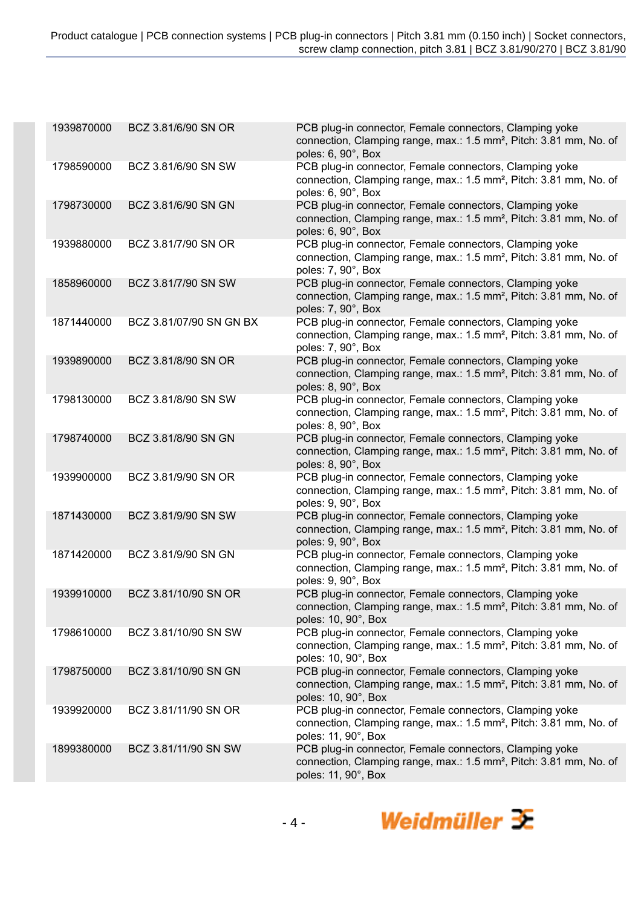Product catalogue | PCB connection systems | PCB plug-in connectors | Pitch 3.81 mm (0.150 inch) | Socket connectors, screw clamp connection, pitch 3.81 | BCZ 3.81/90/270 | BCZ 3.81/90

| 1939870000 | BCZ 3.81/6/90 SN OR     | PCB plug-in connector, Female connectors, Clamping yoke<br>connection, Clamping range, max.: 1.5 mm <sup>2</sup> , Pitch: 3.81 mm, No. of<br>poles: 6, 90°, Box  |
|------------|-------------------------|------------------------------------------------------------------------------------------------------------------------------------------------------------------|
| 1798590000 | BCZ 3.81/6/90 SN SW     | PCB plug-in connector, Female connectors, Clamping yoke<br>connection, Clamping range, max.: 1.5 mm <sup>2</sup> , Pitch: 3.81 mm, No. of<br>poles: 6, 90°, Box  |
| 1798730000 | BCZ 3.81/6/90 SN GN     | PCB plug-in connector, Female connectors, Clamping yoke<br>connection, Clamping range, max.: 1.5 mm <sup>2</sup> , Pitch: 3.81 mm, No. of<br>poles: 6, 90°, Box  |
| 1939880000 | BCZ 3.81/7/90 SN OR     | PCB plug-in connector, Female connectors, Clamping yoke<br>connection, Clamping range, max.: 1.5 mm <sup>2</sup> , Pitch: 3.81 mm, No. of<br>poles: 7, 90°, Box  |
| 1858960000 | BCZ 3.81/7/90 SN SW     | PCB plug-in connector, Female connectors, Clamping yoke<br>connection, Clamping range, max.: 1.5 mm <sup>2</sup> , Pitch: 3.81 mm, No. of<br>poles: 7, 90°, Box  |
| 1871440000 | BCZ 3.81/07/90 SN GN BX | PCB plug-in connector, Female connectors, Clamping yoke<br>connection, Clamping range, max.: 1.5 mm <sup>2</sup> , Pitch: 3.81 mm, No. of<br>poles: 7, 90°, Box  |
| 1939890000 | BCZ 3.81/8/90 SN OR     | PCB plug-in connector, Female connectors, Clamping yoke<br>connection, Clamping range, max.: 1.5 mm <sup>2</sup> , Pitch: 3.81 mm, No. of<br>poles: 8, 90°, Box  |
| 1798130000 | BCZ 3.81/8/90 SN SW     | PCB plug-in connector, Female connectors, Clamping yoke<br>connection, Clamping range, max.: 1.5 mm <sup>2</sup> , Pitch: 3.81 mm, No. of<br>poles: 8, 90°, Box  |
| 1798740000 | BCZ 3.81/8/90 SN GN     | PCB plug-in connector, Female connectors, Clamping yoke<br>connection, Clamping range, max.: 1.5 mm <sup>2</sup> , Pitch: 3.81 mm, No. of<br>poles: 8, 90°, Box  |
| 1939900000 | BCZ 3.81/9/90 SN OR     | PCB plug-in connector, Female connectors, Clamping yoke<br>connection, Clamping range, max.: 1.5 mm <sup>2</sup> , Pitch: 3.81 mm, No. of<br>poles: 9, 90°, Box  |
| 1871430000 | BCZ 3.81/9/90 SN SW     | PCB plug-in connector, Female connectors, Clamping yoke<br>connection, Clamping range, max.: 1.5 mm <sup>2</sup> , Pitch: 3.81 mm, No. of<br>poles: 9, 90°, Box  |
| 1871420000 | BCZ 3.81/9/90 SN GN     | PCB plug-in connector, Female connectors, Clamping yoke<br>connection, Clamping range, max.: 1.5 mm <sup>2</sup> , Pitch: 3.81 mm, No. of<br>poles: 9, 90°, Box  |
| 1939910000 | BCZ 3.81/10/90 SN OR    | PCB plug-in connector, Female connectors, Clamping yoke<br>connection, Clamping range, max.: 1.5 mm <sup>2</sup> , Pitch: 3.81 mm, No. of<br>poles: 10, 90°, Box |
| 1798610000 | BCZ 3.81/10/90 SN SW    | PCB plug-in connector, Female connectors, Clamping yoke<br>connection, Clamping range, max.: 1.5 mm <sup>2</sup> , Pitch: 3.81 mm, No. of<br>poles: 10, 90°, Box |
| 1798750000 | BCZ 3.81/10/90 SN GN    | PCB plug-in connector, Female connectors, Clamping yoke<br>connection, Clamping range, max.: 1.5 mm <sup>2</sup> , Pitch: 3.81 mm, No. of<br>poles: 10, 90°, Box |
| 1939920000 | BCZ 3.81/11/90 SN OR    | PCB plug-in connector, Female connectors, Clamping yoke<br>connection, Clamping range, max.: 1.5 mm <sup>2</sup> , Pitch: 3.81 mm, No. of<br>poles: 11, 90°, Box |
| 1899380000 | BCZ 3.81/11/90 SN SW    | PCB plug-in connector, Female connectors, Clamping yoke<br>connection, Clamping range, max.: 1.5 mm <sup>2</sup> , Pitch: 3.81 mm, No. of<br>poles: 11, 90°, Box |
|            |                         |                                                                                                                                                                  |